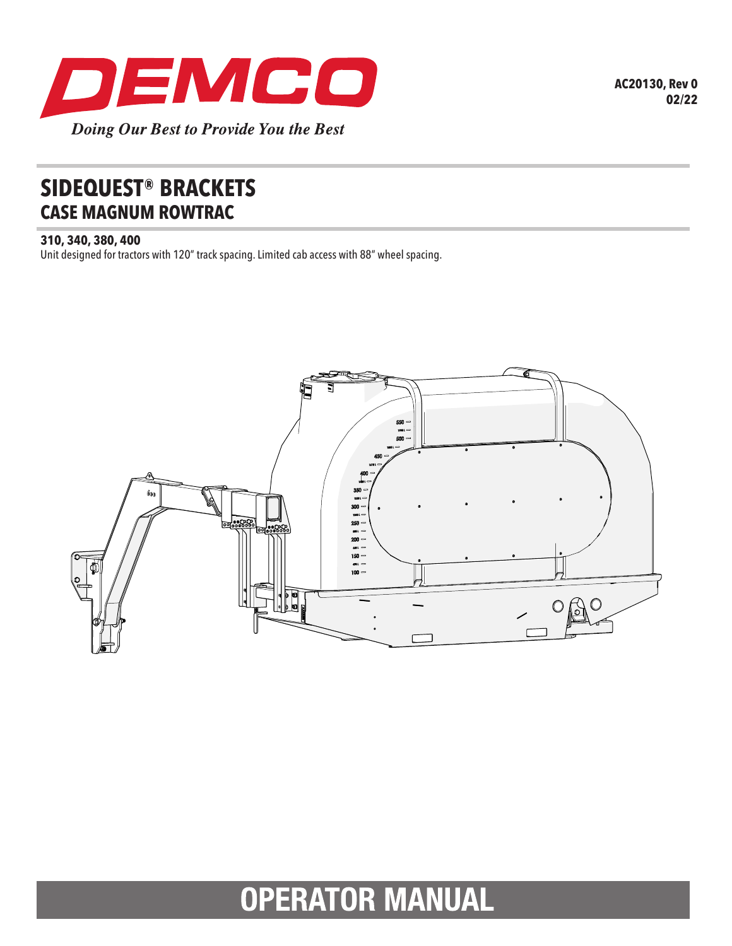

## **SIDEQUEST® BRACKETS CASE MAGNUM ROWTRAC**

## **310, 340, 380, 400**

Unit designed for tractors with 120" track spacing. Limited cab access with 88" wheel spacing.



## **OPERATOR MANUAL**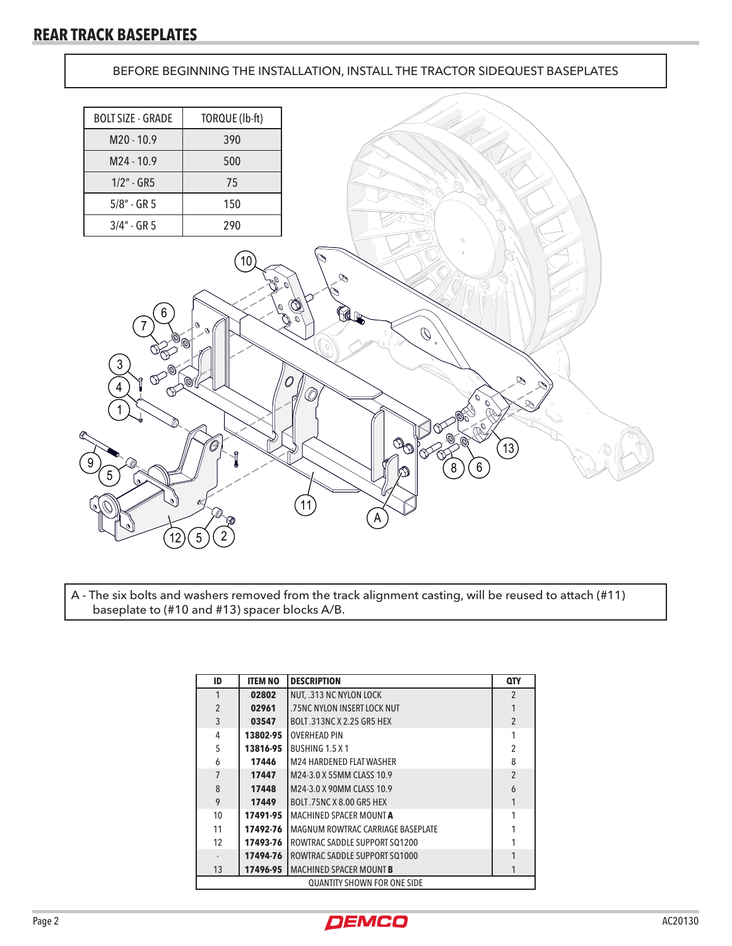BEFORE BEGINNING THE INSTALLATION, INSTALL THE TRACTOR SIDEQUEST BASEPLATES



A - The six bolts and washers removed from the track alignment casting, will be reused to attach (#11) baseplate to (#10 and #13) spacer blocks A/B.

| ID                                 | <b>ITEM NO</b> | <b>DESCRIPTION</b>                | <b>QTY</b>     |  |
|------------------------------------|----------------|-----------------------------------|----------------|--|
| 1                                  | 02802          | NUT. .313 NC NYLON LOCK           | $\mathfrak{p}$ |  |
| $\overline{2}$                     | 02961          | .75NC NYLON INSERT LOCK NUT       |                |  |
| 3                                  | 03547          | BOLT.313NC X 2.25 GR5 HEX         | $\overline{2}$ |  |
| 4                                  | 13802-95       | <b>OVERHEAD PIN</b>               |                |  |
| 5                                  | 13816-95       | BUSHING 1.5 X 1                   | $\overline{2}$ |  |
| 6                                  | 17446          | <b>M24 HARDENED FLAT WASHER</b>   | 8              |  |
| 7                                  | 17447          | M24-3.0 X 55MM CLASS 10.9         | $\mathfrak{p}$ |  |
| 8                                  | 17448          | M24-3.0 X 90MM CLASS 10.9         | 6              |  |
| 9                                  | 17449          | <b>BOLT.75NC X 8.00 GR5 HEX</b>   |                |  |
| 10                                 | 17491-95       | MACHINED SPACER MOUNT A           |                |  |
| 11                                 | 17492-76       | MAGNUM ROWTRAC CARRIAGE BASEPLATE |                |  |
| 12                                 | 17493-76       | ROWTRAC SADDLE SUPPORT SQ1200     |                |  |
|                                    | 17494-76       | ROWTRAC SADDLE SUPPORT SQ1000     |                |  |
| 13                                 | 17496-95       | <b>MACHINED SPACER MOUNT B</b>    |                |  |
| <b>QUANTITY SHOWN FOR ONE SIDE</b> |                |                                   |                |  |

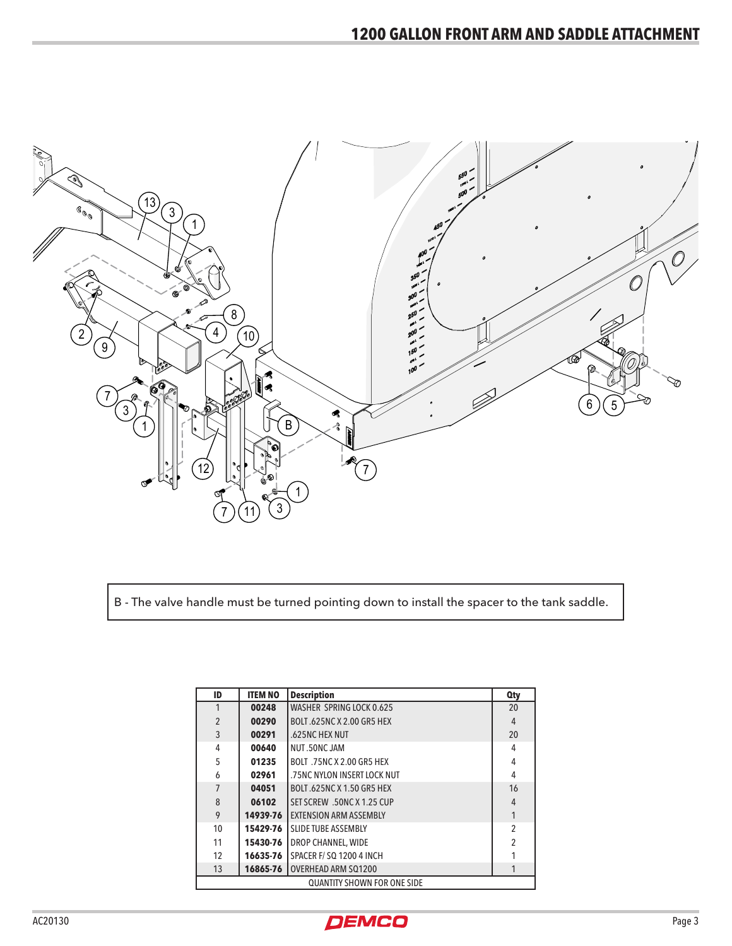

B - The valve handle must be turned pointing down to install the spacer to the tank saddle.

| ID                                 | <b>ITEM NO</b> | <b>Description</b>               | <b>Qty</b>     |  |  |
|------------------------------------|----------------|----------------------------------|----------------|--|--|
|                                    | 00248          | WASHER SPRING LOCK 0.625         | 20             |  |  |
| $\overline{2}$                     | 00290          | <b>BOLT.625NC X 2.00 GR5 HEX</b> | $\overline{4}$ |  |  |
| 3                                  | 00291          | .625NC HEX NUT                   | 20             |  |  |
| 4                                  | 00640          | NUT.50NC JAM                     | 4              |  |  |
| 5                                  | 01235          | BOLT .75NC X 2.00 GR5 HEX        | 4              |  |  |
| 6                                  | 02961          | .75NC NYLON INSERT LOCK NUT      | 4              |  |  |
|                                    | 04051          | BOLT.625NC X 1.50 GR5 HEX        | 16             |  |  |
| 8                                  | 06102          | SET SCREW .50NC X 1.25 CUP       | 4              |  |  |
| 9                                  | 14939-76       | <b>EXTENSION ARM ASSEMBLY</b>    |                |  |  |
| 10                                 | 15429-76       | <b>SLIDE TUBE ASSEMBLY</b>       | $\overline{2}$ |  |  |
| 11                                 | 15430-76       | DROP CHANNEL, WIDE               | 2              |  |  |
| 12                                 | 16635-76       | SPACER F/SQ 1200 4 INCH          |                |  |  |
| 13                                 | 16865-76       | <b>OVERHEAD ARM SQ1200</b>       |                |  |  |
| <b>QUANTITY SHOWN FOR ONE SIDE</b> |                |                                  |                |  |  |